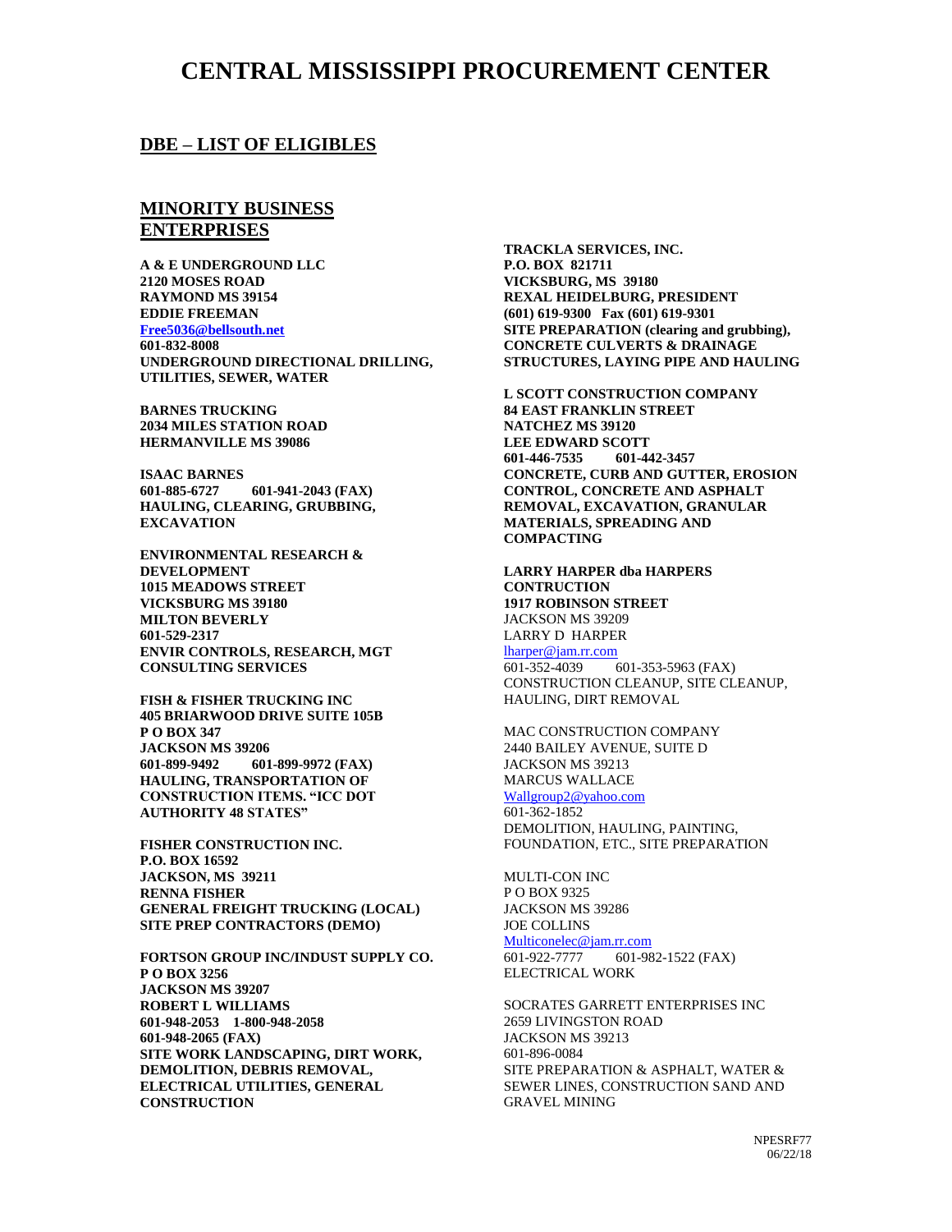## **CENTRAL MISSISSIPPI PROCUREMENT CENTER**

### **DBE – LIST OF ELIGIBLES**

### **MINORITY BUSINESS ENTERPRISES**

**A & E UNDERGROUND LLC 2120 MOSES ROAD RAYMOND MS 39154 EDDIE FREEMAN [Free5036@bellsouth.net](mailto:Free5036@bellsouth.net) 601-832-8008 UNDERGROUND DIRECTIONAL DRILLING, UTILITIES, SEWER, WATER**

**BARNES TRUCKING 2034 MILES STATION ROAD HERMANVILLE MS 39086**

**ISAAC BARNES 601-885-6727 601-941-2043 (FAX) HAULING, CLEARING, GRUBBING, EXCAVATION**

**ENVIRONMENTAL RESEARCH & DEVELOPMENT 1015 MEADOWS STREET VICKSBURG MS 39180 MILTON BEVERLY 601-529-2317 ENVIR CONTROLS, RESEARCH, MGT CONSULTING SERVICES**

**FISH & FISHER TRUCKING INC 405 BRIARWOOD DRIVE SUITE 105B P O BOX 347 JACKSON MS 39206 601-899-9492 601-899-9972 (FAX) HAULING, TRANSPORTATION OF CONSTRUCTION ITEMS. "ICC DOT AUTHORITY 48 STATES"**

**FISHER CONSTRUCTION INC. P.O. BOX 16592 JACKSON, MS 39211 RENNA FISHER GENERAL FREIGHT TRUCKING (LOCAL) SITE PREP CONTRACTORS (DEMO)**

**FORTSON GROUP INC/INDUST SUPPLY CO. P O BOX 3256 JACKSON MS 39207 ROBERT L WILLIAMS 601-948-2053 1-800-948-2058 601-948-2065 (FAX) SITE WORK LANDSCAPING, DIRT WORK, DEMOLITION, DEBRIS REMOVAL, ELECTRICAL UTILITIES, GENERAL CONSTRUCTION**

**TRACKLA SERVICES, INC. P.O. BOX 821711 VICKSBURG, MS 39180 REXAL HEIDELBURG, PRESIDENT (601) 619-9300 Fax (601) 619-9301 SITE PREPARATION (clearing and grubbing), CONCRETE CULVERTS & DRAINAGE STRUCTURES, LAYING PIPE AND HAULING**

**L SCOTT CONSTRUCTION COMPANY 84 EAST FRANKLIN STREET NATCHEZ MS 39120 LEE EDWARD SCOTT 601-446-7535 601-442-3457 CONCRETE, CURB AND GUTTER, EROSION CONTROL, CONCRETE AND ASPHALT REMOVAL, EXCAVATION, GRANULAR MATERIALS, SPREADING AND COMPACTING**

**LARRY HARPER dba HARPERS CONTRUCTION 1917 ROBINSON STREET** JACKSON MS 39209 LARRY D HARPER  $\frac{\text{lharper@jam.rr.com}}{601-352-4039}$  $\frac{\text{lharper@jam.rr.com}}{601-352-4039}$  $\frac{\text{lharper@jam.rr.com}}{601-352-4039}$ 601-353-5963 (FAX) CONSTRUCTION CLEANUP, SITE CLEANUP, HAULING, DIRT REMOVAL

MAC CONSTRUCTION COMPANY 2440 BAILEY AVENUE, SUITE D JACKSON MS 39213 MARCUS WALLACE [Wallgroup2@yahoo.com](mailto:Wallgroup2@yahoo.com) 601-362-1852 DEMOLITION, HAULING, PAINTING, FOUNDATION, ETC., SITE PREPARATION

MULTI-CON INC P O BOX 9325 JACKSON MS 39286 JOE COLLINS  $Multiconelec@jam.rr.com$ <br>601-922-7777 601-98 601-982-1522 (FAX) ELECTRICAL WORK

SOCRATES GARRETT ENTERPRISES INC 2659 LIVINGSTON ROAD JACKSON MS 39213 601-896-0084 SITE PREPARATION & ASPHALT, WATER & SEWER LINES, CONSTRUCTION SAND AND GRAVEL MINING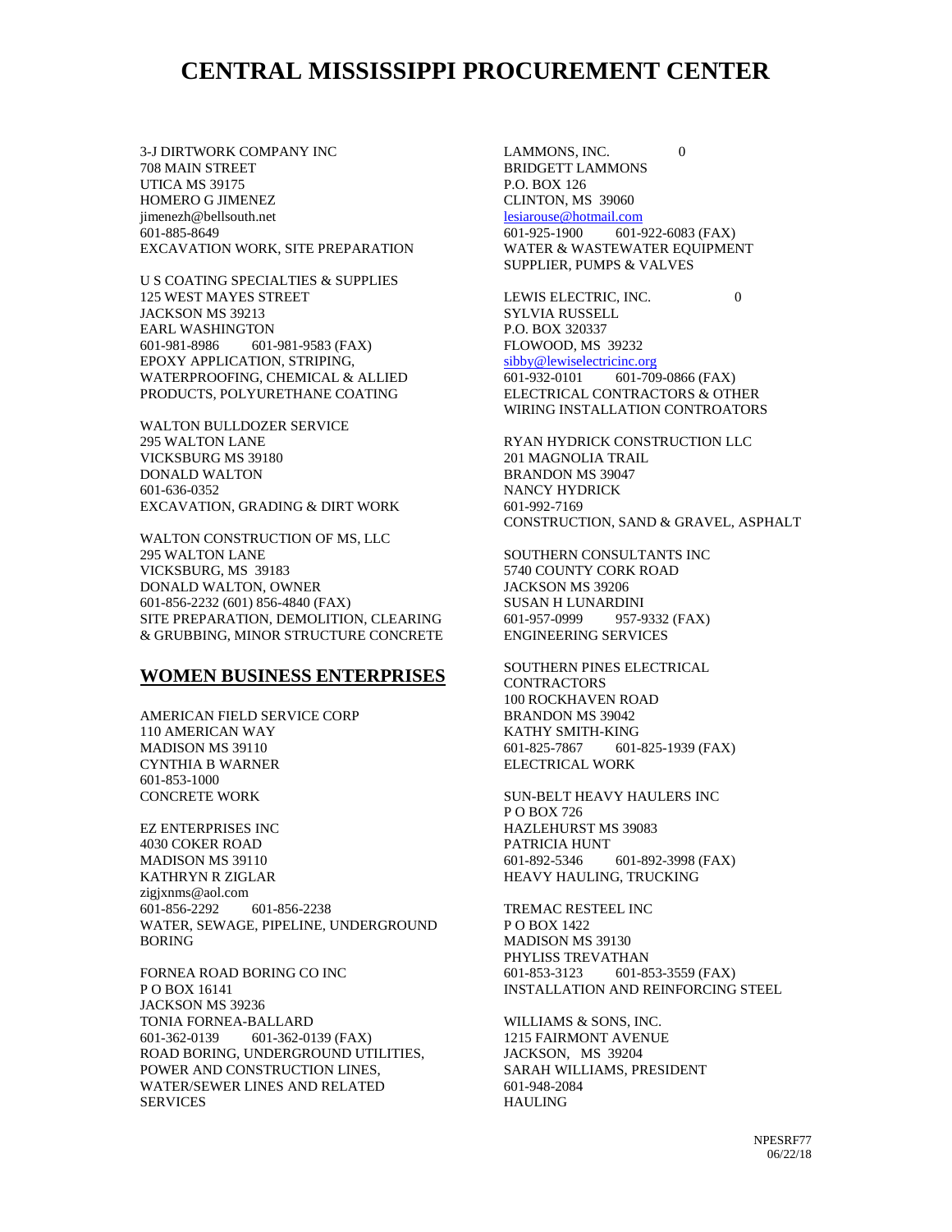# **CENTRAL MISSISSIPPI PROCUREMENT CENTER**

3-J DIRTWORK COMPANY INC 708 MAIN STREET UTICA MS 39175 HOMERO G JIMENEZ jimenezh@bellsouth.net 601-885-8649 EXCAVATION WORK, SITE PREPARATION

U S COATING SPECIALTIES & SUPPLIES 125 WEST MAYES STREET JACKSON MS 39213 EARL WASHINGTON 601-981-8986 601-981-9583 (FAX) EPOXY APPLICATION, STRIPING, WATERPROOFING, CHEMICAL & ALLIED PRODUCTS, POLYURETHANE COATING

WALTON BULLDOZER SERVICE 295 WALTON LANE VICKSBURG MS 39180 DONALD WALTON 601-636-0352 EXCAVATION, GRADING & DIRT WORK

WALTON CONSTRUCTION OF MS, LLC 295 WALTON LANE VICKSBURG, MS 39183 DONALD WALTON, OWNER 601-856-2232 (601) 856-4840 (FAX) SITE PREPARATION, DEMOLITION, CLEARING & GRUBBING, MINOR STRUCTURE CONCRETE

#### **WOMEN BUSINESS ENTERPRISES**

AMERICAN FIELD SERVICE CORP 110 AMERICAN WAY MADISON MS 39110 CYNTHIA B WARNER 601-853-1000 CONCRETE WORK

EZ ENTERPRISES INC 4030 COKER ROAD MADISON MS 39110 KATHRYN R ZIGLAR zigjxnms@aol.com 601-856-2292 601-856-2238 WATER, SEWAGE, PIPELINE, UNDERGROUND BORING

FORNEA ROAD BORING CO INC P O BOX 16141 JACKSON MS 39236 TONIA FORNEA-BALLARD 601-362-0139 601-362-0139 (FAX) ROAD BORING, UNDERGROUND UTILITIES, POWER AND CONSTRUCTION LINES, WATER/SEWER LINES AND RELATED SERVICES

LAMMONS, INC. 0 BRIDGETT LAMMONS P.O. BOX 126 CLINTON, MS 39060 [lesiarouse@hotmail.com](mailto:lesiarouse@hotmail.com) 601-925-1900 601-922-6083 (FAX) WATER & WASTEWATER EQUIPMENT SUPPLIER, PUMPS & VALVES

LEWIS ELECTRIC, INC. 0 SYLVIA RUSSELL P.O. BOX 320337 FLOWOOD, MS 39232 [sibby@lewiselectricinc.org](mailto:sibby@lewiselectricinc.org) 601-932-0101 601-709-0866 (FAX) ELECTRICAL CONTRACTORS & OTHER WIRING INSTALLATION CONTROATORS

RYAN HYDRICK CONSTRUCTION LLC 201 MAGNOLIA TRAIL BRANDON MS 39047 NANCY HYDRICK 601-992-7169 CONSTRUCTION, SAND & GRAVEL, ASPHALT

SOUTHERN CONSULTANTS INC 5740 COUNTY CORK ROAD JACKSON MS 39206 SUSAN H LUNARDINI 601-957-0999 957-9332 (FAX) ENGINEERING SERVICES

SOUTHERN PINES ELECTRICAL **CONTRACTORS** 100 ROCKHAVEN ROAD BRANDON MS 39042 KATHY SMITH-KING 601-825-7867 601-825-1939 (FAX) ELECTRICAL WORK

SUN-BELT HEAVY HAULERS INC P O BOX 726 HAZLEHURST MS 39083 PATRICIA HUNT 601-892-5346 601-892-3998 (FAX) HEAVY HAULING, TRUCKING

TREMAC RESTEEL INC P O BOX 1422 MADISON MS 39130 PHYLISS TREVATHAN 601-853-3123 601-853-3559 (FAX) INSTALLATION AND REINFORCING STEEL

WILLIAMS & SONS, INC. 1215 FAIRMONT AVENUE JACKSON, MS 39204 SARAH WILLIAMS, PRESIDENT 601-948-2084 HAULING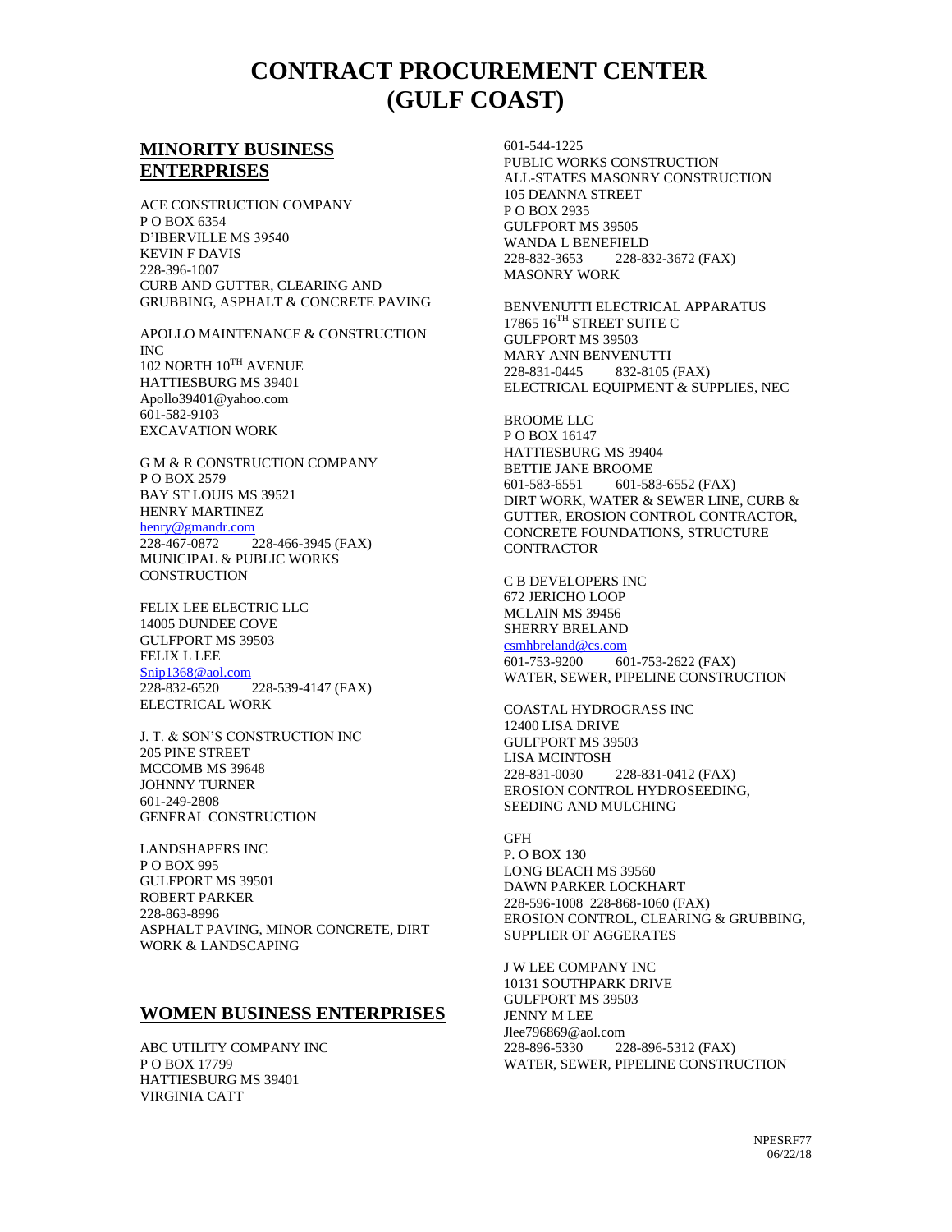# **CONTRACT PROCUREMENT CENTER (GULF COAST)**

## **MINORITY BUSINESS ENTERPRISES**

ACE CONSTRUCTION COMPANY P O BOX 6354 D'IBERVILLE MS 39540 KEVIN F DAVIS 228-396-1007 CURB AND GUTTER, CLEARING AND GRUBBING, ASPHALT & CONCRETE PAVING

APOLLO MAINTENANCE & CONSTRUCTION INC 102 NORTH 10TH AVENUE HATTIESBURG MS 39401 Apollo39401@yahoo.com 601-582-9103 EXCAVATION WORK

G M & R CONSTRUCTION COMPANY P O BOX 2579 BAY ST LOUIS MS 39521 HENRY MARTINEZ [henry@gmandr.com](mailto:henry@gmandr.com) 228-467-0872 228-466-3945 (FAX) MUNICIPAL & PUBLIC WORKS

FELIX LEE ELECTRIC LLC 14005 DUNDEE COVE GULFPORT MS 39503 FELIX L LEE [Snip1368@aol.com](mailto:Snip1368@aol.com) 228-832-6520 228-539-4147 (FAX) ELECTRICAL WORK

**CONSTRUCTION** 

J. T. & SON'S CONSTRUCTION INC 205 PINE STREET MCCOMB MS 39648 JOHNNY TURNER 601-249-2808 GENERAL CONSTRUCTION

LANDSHAPERS INC P O BOX 995 GULFPORT MS 39501 ROBERT PARKER 228-863-8996 ASPHALT PAVING, MINOR CONCRETE, DIRT WORK & LANDSCAPING

### **WOMEN BUSINESS ENTERPRISES**

ABC UTILITY COMPANY INC P O BOX 17799 HATTIESBURG MS 39401 VIRGINIA CATT

601-544-1225 PUBLIC WORKS CONSTRUCTION ALL-STATES MASONRY CONSTRUCTION 105 DEANNA STREET P O BOX 2935 GULFPORT MS 39505 WANDA L BENEFIELD 228-832-3653 228-832-3672 (FAX) MASONRY WORK

BENVENUTTI ELECTRICAL APPARATUS 17865 16TH STREET SUITE C GULFPORT MS 39503 MARY ANN BENVENUTTI 228-831-0445 832-8105 (FAX) ELECTRICAL EQUIPMENT & SUPPLIES, NEC

BROOME LLC P O BOX 16147 HATTIESBURG MS 39404 BETTIE JANE BROOME 601-583-6551 601-583-6552 (FAX) DIRT WORK, WATER & SEWER LINE, CURB & GUTTER, EROSION CONTROL CONTRACTOR, CONCRETE FOUNDATIONS, STRUCTURE CONTRACTOR

C B DEVELOPERS INC 672 JERICHO LOOP MCLAIN MS 39456 SHERRY BRELAND [csmhbreland@cs.com](mailto:csmhbreland@cs.com) 601-753-9200 601-753-2622 (FAX) WATER, SEWER, PIPELINE CONSTRUCTION

COASTAL HYDROGRASS INC 12400 LISA DRIVE GULFPORT MS 39503 LISA MCINTOSH 228-831-0030 228-831-0412 (FAX) EROSION CONTROL HYDROSEEDING, SEEDING AND MULCHING

GFH P. O BOX 130 LONG BEACH MS 39560 DAWN PARKER LOCKHART 228-596-1008 228-868-1060 (FAX) EROSION CONTROL, CLEARING & GRUBBING, SUPPLIER OF AGGERATES

J W LEE COMPANY INC 10131 SOUTHPARK DRIVE GULFPORT MS 39503 JENNY M LEE Jlee796869@aol.com 228-896-5330 228-896-5312 (FAX) WATER, SEWER, PIPELINE CONSTRUCTION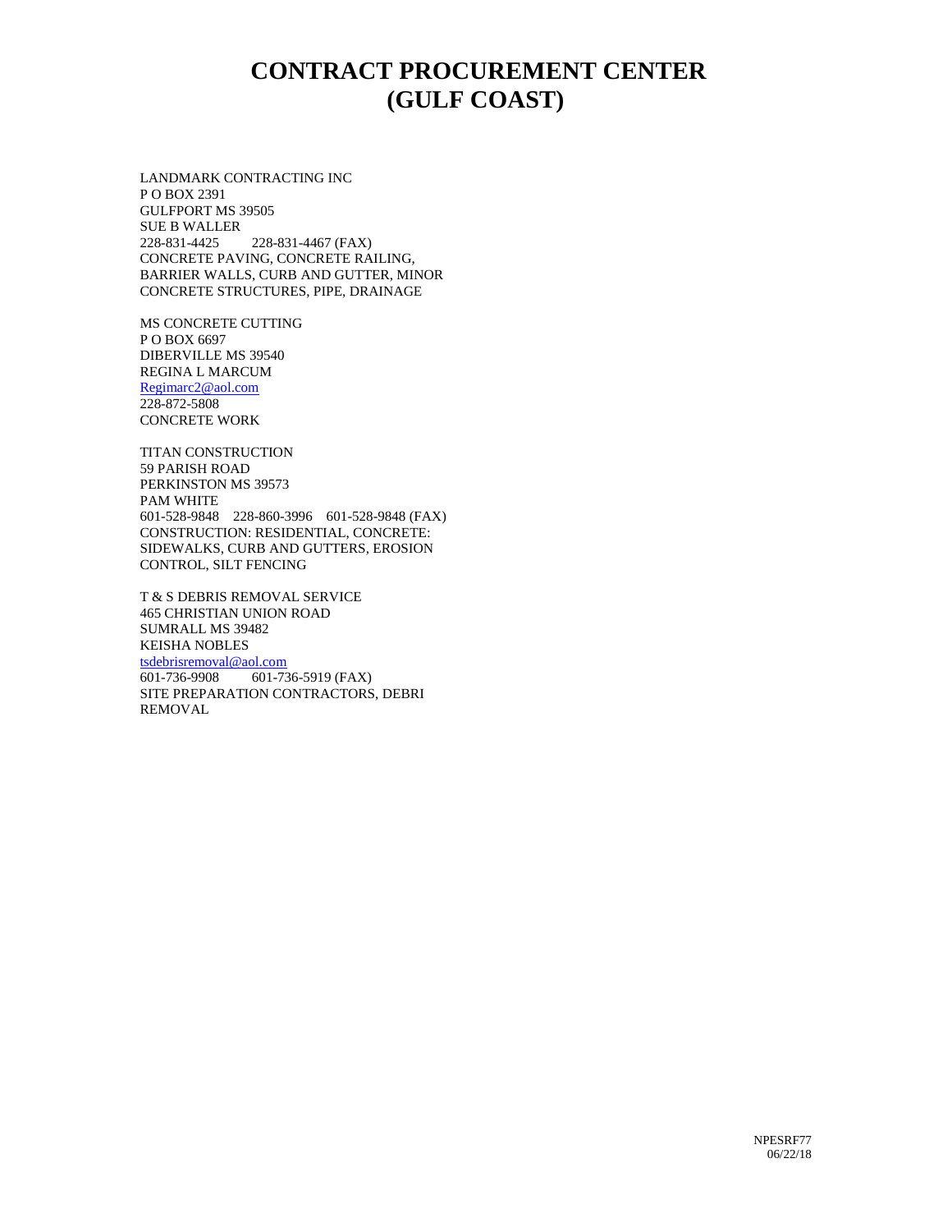# **CONTRACT PROCUREMENT CENTER (GULF COAST)**

LANDMARK CONTRACTING INC P O BOX 2391 GULFPORT MS 39505 SUE B WALLER 228-831-4425 228-831-4467 (FAX) CONCRETE PAVING, CONCRETE RAILING, BARRIER WALLS, CURB AND GUTTER, MINOR CONCRETE STRUCTURES, PIPE, DRAINAGE

MS CONCRETE CUTTING P O BOX 6697 DIBERVILLE MS 39540 REGINA L MARCUM [Regimarc2@aol.com](mailto:Regimarc2@aol.com) 228-872-5808 CONCRETE WORK

TITAN CONSTRUCTION 59 PARISH ROAD PERKINSTON MS 39573 PAM WHITE 601-528-9848 228-860-3996 601-528-9848 (FAX) CONSTRUCTION: RESIDENTIAL, CONCRETE: SIDEWALKS, CURB AND GUTTERS, EROSION CONTROL, SILT FENCING

T & S DEBRIS REMOVAL SERVICE 465 CHRISTIAN UNION ROAD SUMRALL MS 39482 KEISHA NOBLES [tsdebrisremoval@aol.com](mailto:tsdebrisremoval@aol.com) 601-736-9908 601-736-5919 (FAX) SITE PREPARATION CONTRACTORS, DEBRI REMOVAL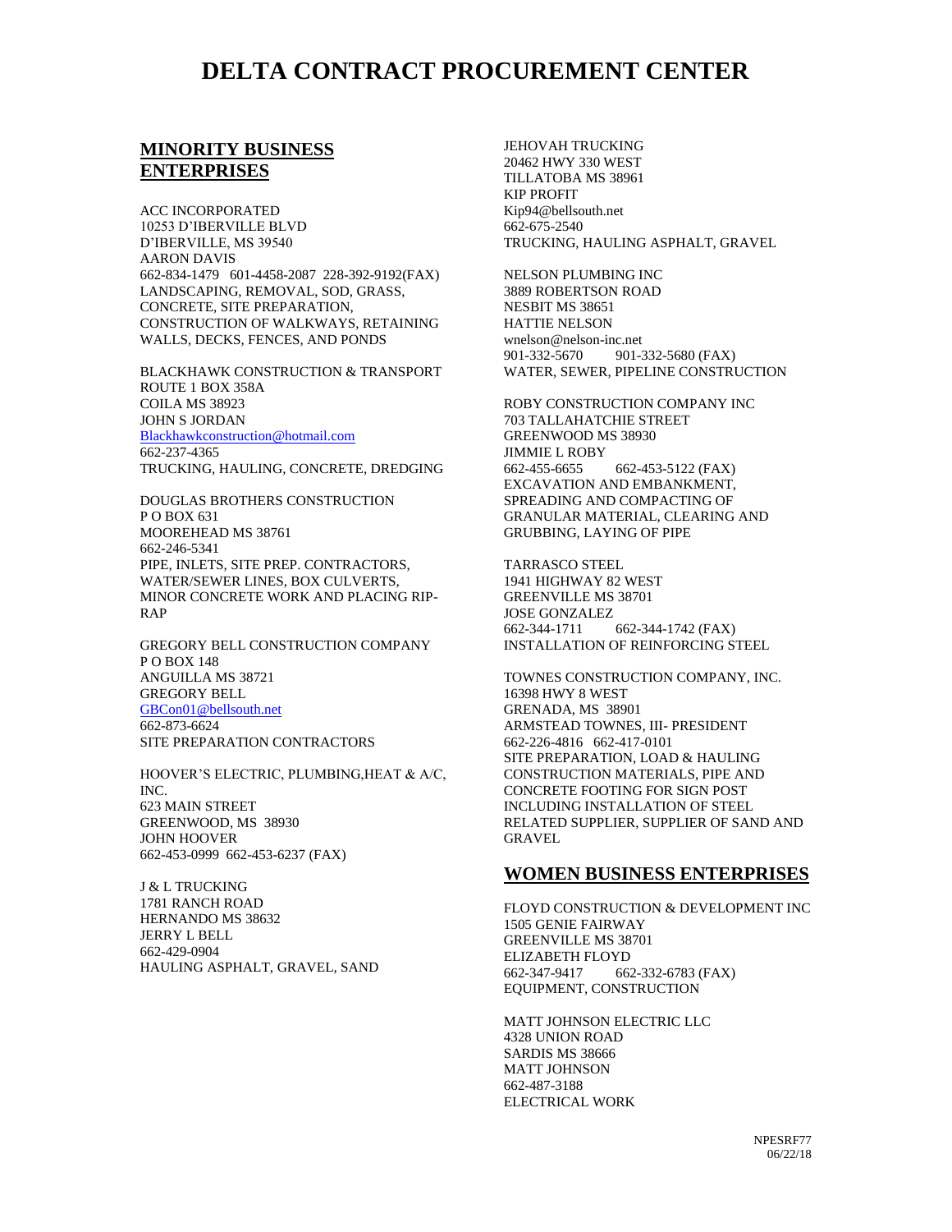## **DELTA CONTRACT PROCUREMENT CENTER**

### **MINORITY BUSINESS ENTERPRISES**

ACC INCORPORATED 10253 D'IBERVILLE BLVD D'IBERVILLE, MS 39540 AARON DAVIS 662-834-1479 601-4458-2087 228-392-9192(FAX) LANDSCAPING, REMOVAL, SOD, GRASS, CONCRETE, SITE PREPARATION, CONSTRUCTION OF WALKWAYS, RETAINING WALLS, DECKS, FENCES, AND PONDS

BLACKHAWK CONSTRUCTION & TRANSPORT ROUTE 1 BOX 358A COILA MS 38923 JOHN S JORDAN [Blackhawkconstruction@hotmail.com](mailto:Blackhawkconstruction@hotmail.com) 662-237-4365 TRUCKING, HAULING, CONCRETE, DREDGING

DOUGLAS BROTHERS CONSTRUCTION P O BOX 631 MOOREHEAD MS 38761 662-246-5341 PIPE, INLETS, SITE PREP. CONTRACTORS, WATER/SEWER LINES, BOX CULVERTS, MINOR CONCRETE WORK AND PLACING RIP-RAP

GREGORY BELL CONSTRUCTION COMPANY P O BOX 148 ANGUILLA MS 38721 GREGORY BELL [GBCon01@bellsouth.net](mailto:GBCon01@bellsouth.net) 662-873-6624 SITE PREPARATION CONTRACTORS

HOOVER'S ELECTRIC, PLUMBING,HEAT & A/C, INC. 623 MAIN STREET GREENWOOD, MS 38930 JOHN HOOVER 662-453-0999 662-453-6237 (FAX)

J & L TRUCKING 1781 RANCH ROAD HERNANDO MS 38632 JERRY L BELL 662-429-0904 HAULING ASPHALT, GRAVEL, SAND JEHOVAH TRUCKING 20462 HWY 330 WEST TILLATOBA MS 38961 KIP PROFIT Kip94@bellsouth.net 662-675-2540 TRUCKING, HAULING ASPHALT, GRAVEL

NELSON PLUMBING INC 3889 ROBERTSON ROAD NESBIT MS 38651 HATTIE NELSON wnelson@nelson-inc.net 901-332-5670 901-332-5680 (FAX) WATER, SEWER, PIPELINE CONSTRUCTION

ROBY CONSTRUCTION COMPANY INC 703 TALLAHATCHIE STREET GREENWOOD MS 38930 JIMMIE L ROBY 662-455-6655 662-453-5122 (FAX) EXCAVATION AND EMBANKMENT, SPREADING AND COMPACTING OF GRANULAR MATERIAL, CLEARING AND GRUBBING, LAYING OF PIPE

TARRASCO STEEL 1941 HIGHWAY 82 WEST GREENVILLE MS 38701 JOSE GONZALEZ 662-344-1711 662-344-1742 (FAX) INSTALLATION OF REINFORCING STEEL

TOWNES CONSTRUCTION COMPANY, INC. 16398 HWY 8 WEST GRENADA, MS 38901 ARMSTEAD TOWNES, III- PRESIDENT 662-226-4816 662-417-0101 SITE PREPARATION, LOAD & HAULING CONSTRUCTION MATERIALS, PIPE AND CONCRETE FOOTING FOR SIGN POST INCLUDING INSTALLATION OF STEEL RELATED SUPPLIER, SUPPLIER OF SAND AND GRAVEL

#### **WOMEN BUSINESS ENTERPRISES**

FLOYD CONSTRUCTION & DEVELOPMENT INC 1505 GENIE FAIRWAY GREENVILLE MS 38701 ELIZABETH FLOYD 662-347-9417 662-332-6783 (FAX) EQUIPMENT, CONSTRUCTION

MATT JOHNSON ELECTRIC LLC 4328 UNION ROAD SARDIS MS 38666 MATT JOHNSON 662-487-3188 ELECTRICAL WORK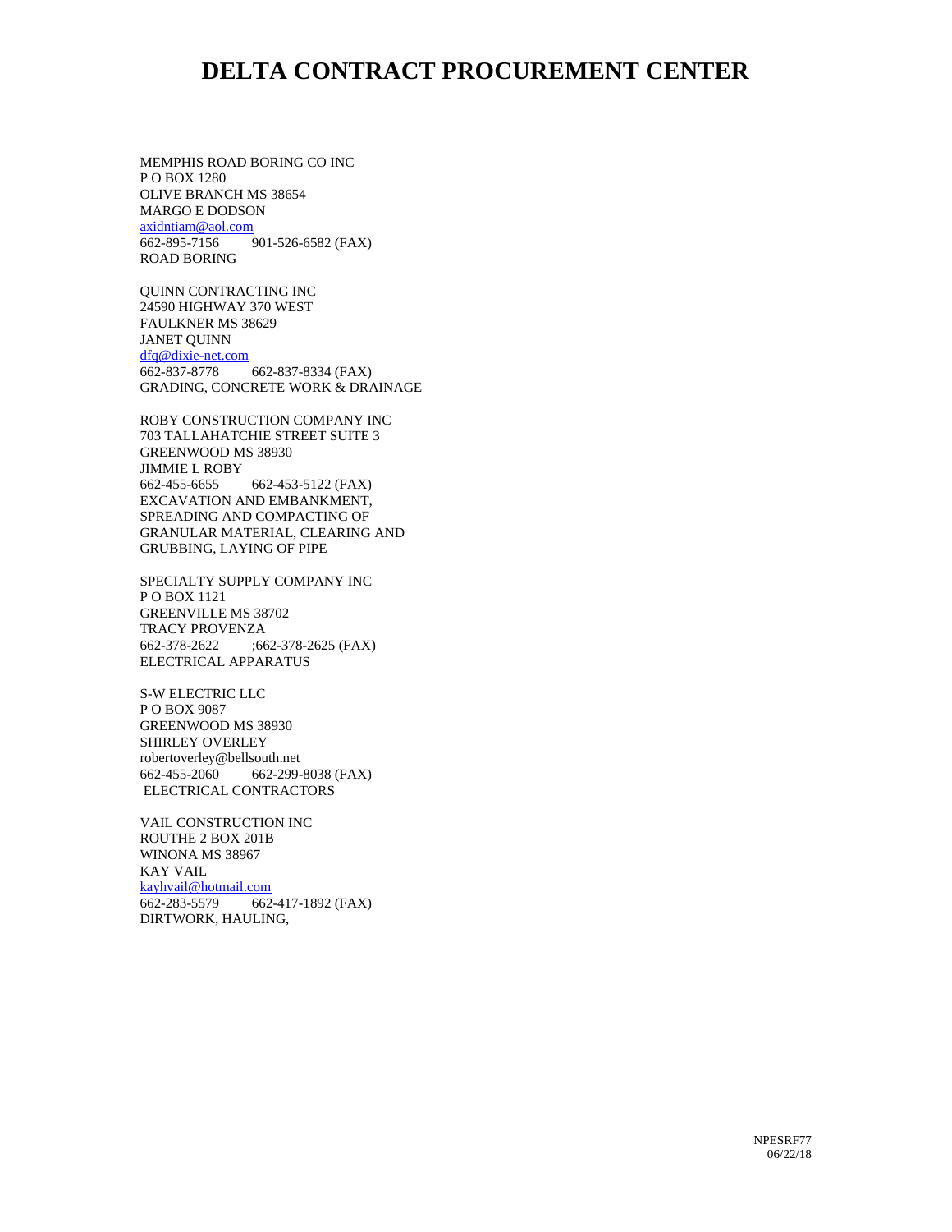## **DELTA CONTRACT PROCUREMENT CENTER**

MEMPHIS ROAD BORING CO INC P O BOX 1280 OLIVE BRANCH MS 38654 MARGO E DODSON [axidntiam@aol.com](mailto:axidntiam@aol.com) 662-895-7156 901-526-6582 (FAX) ROAD BORING

QUINN CONTRACTING INC 24590 HIGHWAY 370 WEST FAULKNER MS 38629 JANET QUINN [dfq@dixie-net.com](mailto:dfq@dixie-net.com) 662-837-8778 662-837-8334 (FAX) GRADING, CONCRETE WORK & DRAINAGE

ROBY CONSTRUCTION COMPANY INC 703 TALLAHATCHIE STREET SUITE 3 GREENWOOD MS 38930 JIMMIE L ROBY 662-455-6655 662-453-5122 (FAX) EXCAVATION AND EMBANKMENT, SPREADING AND COMPACTING OF GRANULAR MATERIAL, CLEARING AND GRUBBING, LAYING OF PIPE

SPECIALTY SUPPLY COMPANY INC P O BOX 1121 GREENVILLE MS 38702 TRACY PROVENZA 662-378-2622 ;662-378-2625 (FAX) ELECTRICAL APPARATUS

S-W ELECTRIC LLC P O BOX 9087 GREENWOOD MS 38930 SHIRLEY OVERLEY robertoverley@bellsouth.net 662-455-2060 662-299-8038 (FAX) ELECTRICAL CONTRACTORS

VAIL CONSTRUCTION INC ROUTHE 2 BOX 201B WINONA MS 38967 KAY VAIL [kayhvail@hotmail.com](mailto:kayhvail@hotmail.com) 662-283-5579 662-417-1892 (FAX) DIRTWORK, HAULING,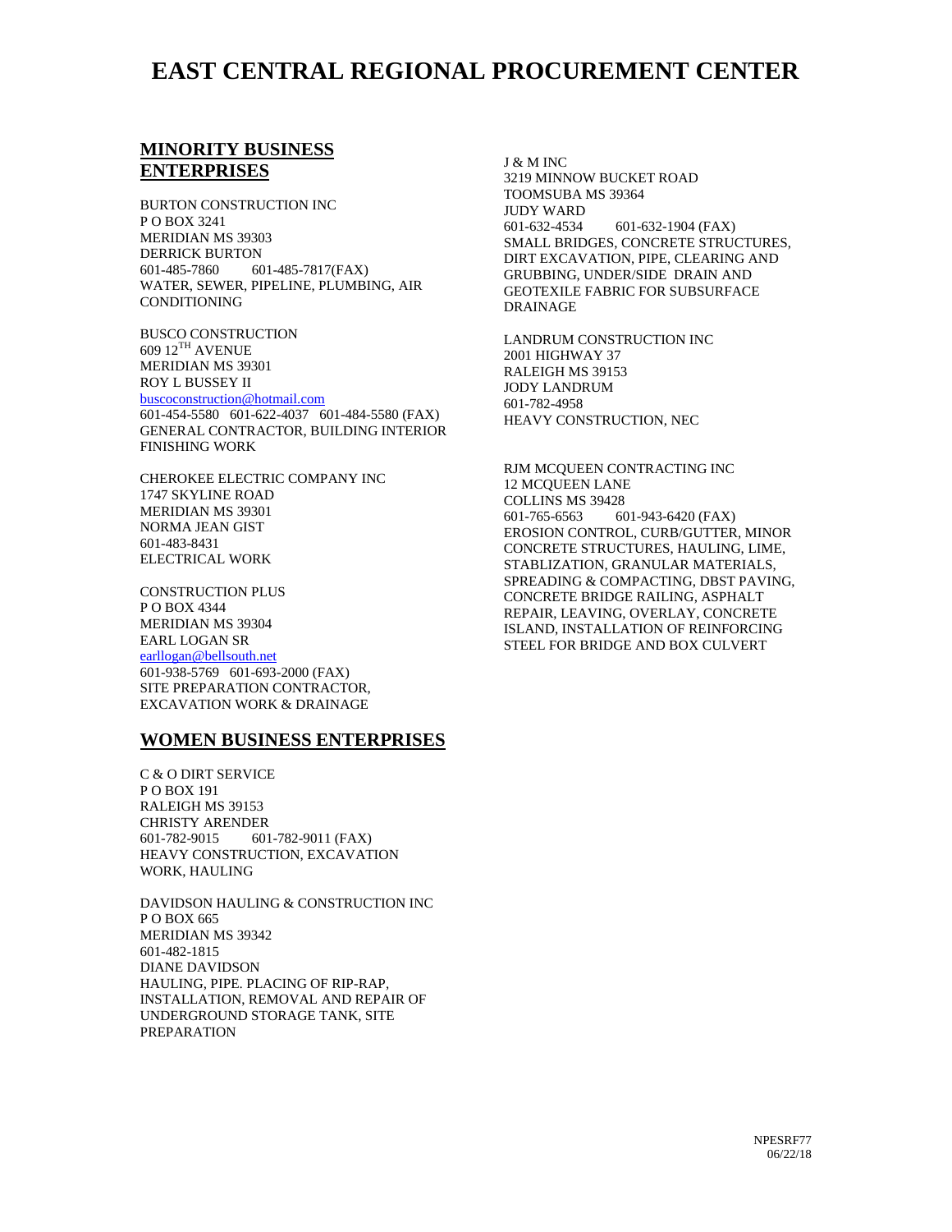# **EAST CENTRAL REGIONAL PROCUREMENT CENTER**

## **MINORITY BUSINESS ENTERPRISES**

BURTON CONSTRUCTION INC P O BOX 3241 MERIDIAN MS 39303 DERRICK BURTON 601-485-7860 601-485-7817(FAX) WATER, SEWER, PIPELINE, PLUMBING, AIR CONDITIONING

BUSCO CONSTRUCTION 609 12TH AVENUE MERIDIAN MS 39301 ROY L BUSSEY II [buscoconstruction@hotmail.com](mailto:buscoconstruction@hotmail.com) 601-454-5580 601-622-4037 601-484-5580 (FAX) GENERAL CONTRACTOR, BUILDING INTERIOR FINISHING WORK

CHEROKEE ELECTRIC COMPANY INC 1747 SKYLINE ROAD MERIDIAN MS 39301 NORMA JEAN GIST 601-483-8431 ELECTRICAL WORK

CONSTRUCTION PLUS P O BOX 4344 MERIDIAN MS 39304 EARL LOGAN SR [earllogan@bellsouth.net](mailto:earllogan@bellsouth.net) 601-938-5769 601-693-2000 (FAX) SITE PREPARATION CONTRACTOR, EXCAVATION WORK & DRAINAGE

### **WOMEN BUSINESS ENTERPRISES**

C & O DIRT SERVICE P O BOX 191 RALEIGH MS 39153 CHRISTY ARENDER 601-782-9015 601-782-9011 (FAX) HEAVY CONSTRUCTION, EXCAVATION WORK, HAULING

DAVIDSON HAULING & CONSTRUCTION INC P O BOX 665 MERIDIAN MS 39342 601-482-1815 DIANE DAVIDSON HAULING, PIPE. PLACING OF RIP-RAP, INSTALLATION, REMOVAL AND REPAIR OF UNDERGROUND STORAGE TANK, SITE PREPARATION

J & M INC 3219 MINNOW BUCKET ROAD TOOMSUBA MS 39364 JUDY WARD 601-632-4534 601-632-1904 (FAX) SMALL BRIDGES, CONCRETE STRUCTURES, DIRT EXCAVATION, PIPE, CLEARING AND GRUBBING, UNDER/SIDE DRAIN AND GEOTEXILE FABRIC FOR SUBSURFACE DRAINAGE

LANDRUM CONSTRUCTION INC 2001 HIGHWAY 37 RALEIGH MS 39153 JODY LANDRUM 601-782-4958 HEAVY CONSTRUCTION, NEC

RJM MCQUEEN CONTRACTING INC 12 MCQUEEN LANE COLLINS MS 39428 601-765-6563 601-943-6420 (FAX) EROSION CONTROL, CURB/GUTTER, MINOR CONCRETE STRUCTURES, HAULING, LIME, STABLIZATION, GRANULAR MATERIALS, SPREADING & COMPACTING, DBST PAVING, CONCRETE BRIDGE RAILING, ASPHALT REPAIR, LEAVING, OVERLAY, CONCRETE ISLAND, INSTALLATION OF REINFORCING STEEL FOR BRIDGE AND BOX CULVERT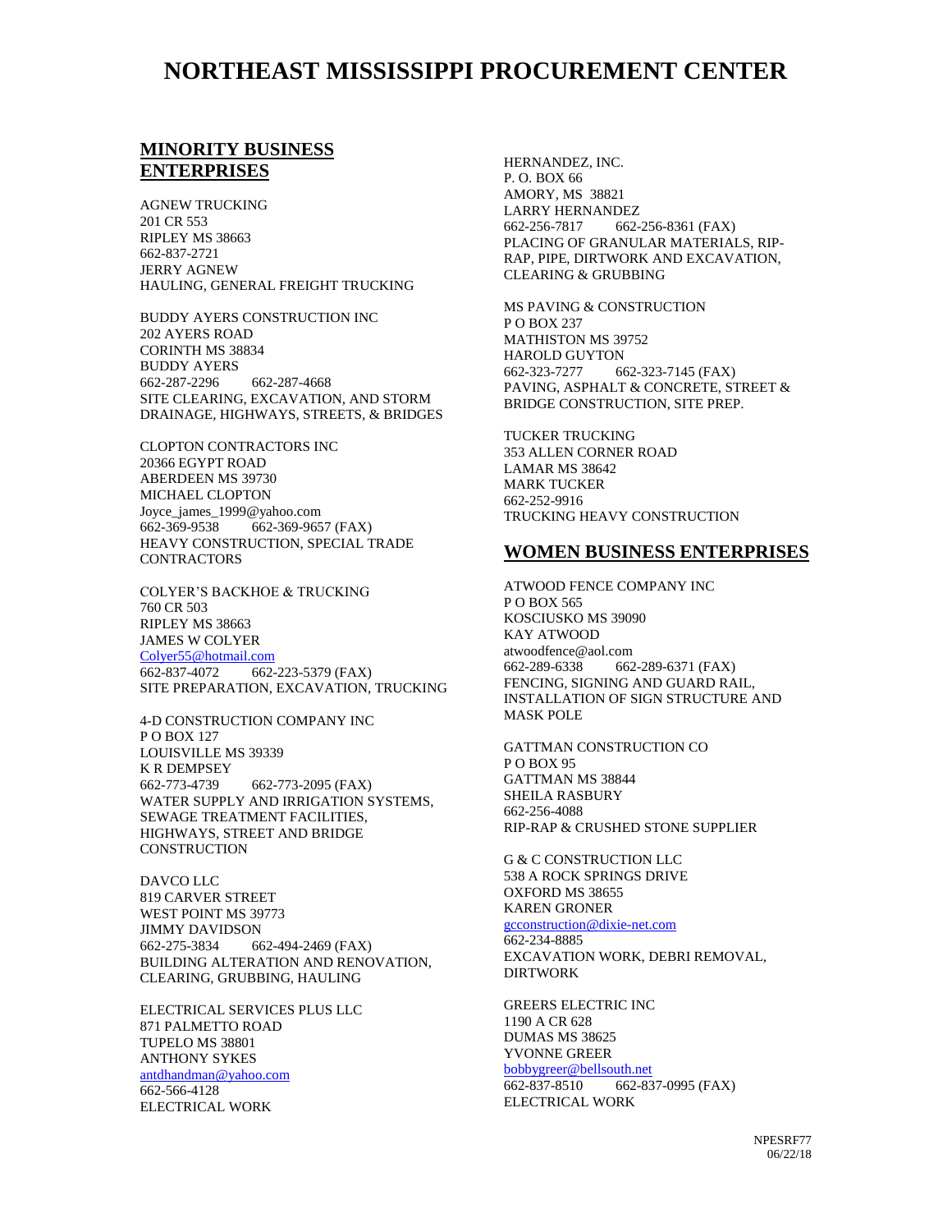## **NORTHEAST MISSISSIPPI PROCUREMENT CENTER**

### **MINORITY BUSINESS ENTERPRISES**

AGNEW TRUCKING 201 CR 553 RIPLEY MS 38663 662-837-2721 JERRY AGNEW HAULING, GENERAL FREIGHT TRUCKING

BUDDY AYERS CONSTRUCTION INC 202 AYERS ROAD CORINTH MS 38834 BUDDY AYERS 662-287-2296 662-287-4668 SITE CLEARING, EXCAVATION, AND STORM DRAINAGE, HIGHWAYS, STREETS, & BRIDGES

CLOPTON CONTRACTORS INC 20366 EGYPT ROAD ABERDEEN MS 39730 MICHAEL CLOPTON Joyce\_james\_1999@yahoo.com 662-369-9538 662-369-9657 (FAX) HEAVY CONSTRUCTION, SPECIAL TRADE **CONTRACTORS** 

COLYER'S BACKHOE & TRUCKING 760 CR 503 RIPLEY MS 38663 JAMES W COLYER [Colyer55@hotmail.com](mailto:Colyer55@hotmail.com) 662-837-4072 662-223-5379 (FAX) SITE PREPARATION, EXCAVATION, TRUCKING

4-D CONSTRUCTION COMPANY INC P O BOX 127 LOUISVILLE MS 39339 K R DEMPSEY 662-773-4739 662-773-2095 (FAX) WATER SUPPLY AND IRRIGATION SYSTEMS, SEWAGE TREATMENT FACILITIES, HIGHWAYS, STREET AND BRIDGE **CONSTRUCTION** 

DAVCO LLC 819 CARVER STREET WEST POINT MS 39773 JIMMY DAVIDSON 662-275-3834 662-494-2469 (FAX) BUILDING ALTERATION AND RENOVATION, CLEARING, GRUBBING, HAULING

ELECTRICAL SERVICES PLUS LLC 871 PALMETTO ROAD TUPELO MS 38801 ANTHONY SYKES [antdhandman@yahoo.com](mailto:antdhandman@yahoo.com) 662-566-4128 ELECTRICAL WORK

HERNANDEZ, INC. P. O. BOX 66 AMORY, MS 38821 LARRY HERNANDEZ 662-256-7817 662-256-8361 (FAX) PLACING OF GRANULAR MATERIALS, RIP-RAP, PIPE, DIRTWORK AND EXCAVATION, CLEARING & GRUBBING

MS PAVING & CONSTRUCTION P O BOX 237 MATHISTON MS 39752 HAROLD GUYTON 662-323-7277 662-323-7145 (FAX) PAVING, ASPHALT & CONCRETE, STREET & BRIDGE CONSTRUCTION, SITE PREP.

TUCKER TRUCKING 353 ALLEN CORNER ROAD LAMAR MS 38642 MARK TUCKER 662-252-9916 TRUCKING HEAVY CONSTRUCTION

#### **WOMEN BUSINESS ENTERPRISES**

ATWOOD FENCE COMPANY INC P O BOX 565 KOSCIUSKO MS 39090 KAY ATWOOD atwoodfence@aol.com 662-289-6338 662-289-6371 (FAX) FENCING, SIGNING AND GUARD RAIL, INSTALLATION OF SIGN STRUCTURE AND MASK POLE

GATTMAN CONSTRUCTION CO P O BOX 95 GATTMAN MS 38844 SHEILA RASBURY 662-256-4088 RIP-RAP & CRUSHED STONE SUPPLIER

G & C CONSTRUCTION LLC 538 A ROCK SPRINGS DRIVE OXFORD MS 38655 KAREN GRONER [gcconstruction@dixie-net.com](mailto:gcconstruction@dixie-net.com) 662-234-8885 EXCAVATION WORK, DEBRI REMOVAL, DIRTWORK

GREERS ELECTRIC INC 1190 A CR 628 DUMAS MS 38625 YVONNE GREER [bobbygreer@bellsouth.net](mailto:bobbygreer@bellsouth.net) 662-837-8510 662-837-0995 (FAX) ELECTRICAL WORK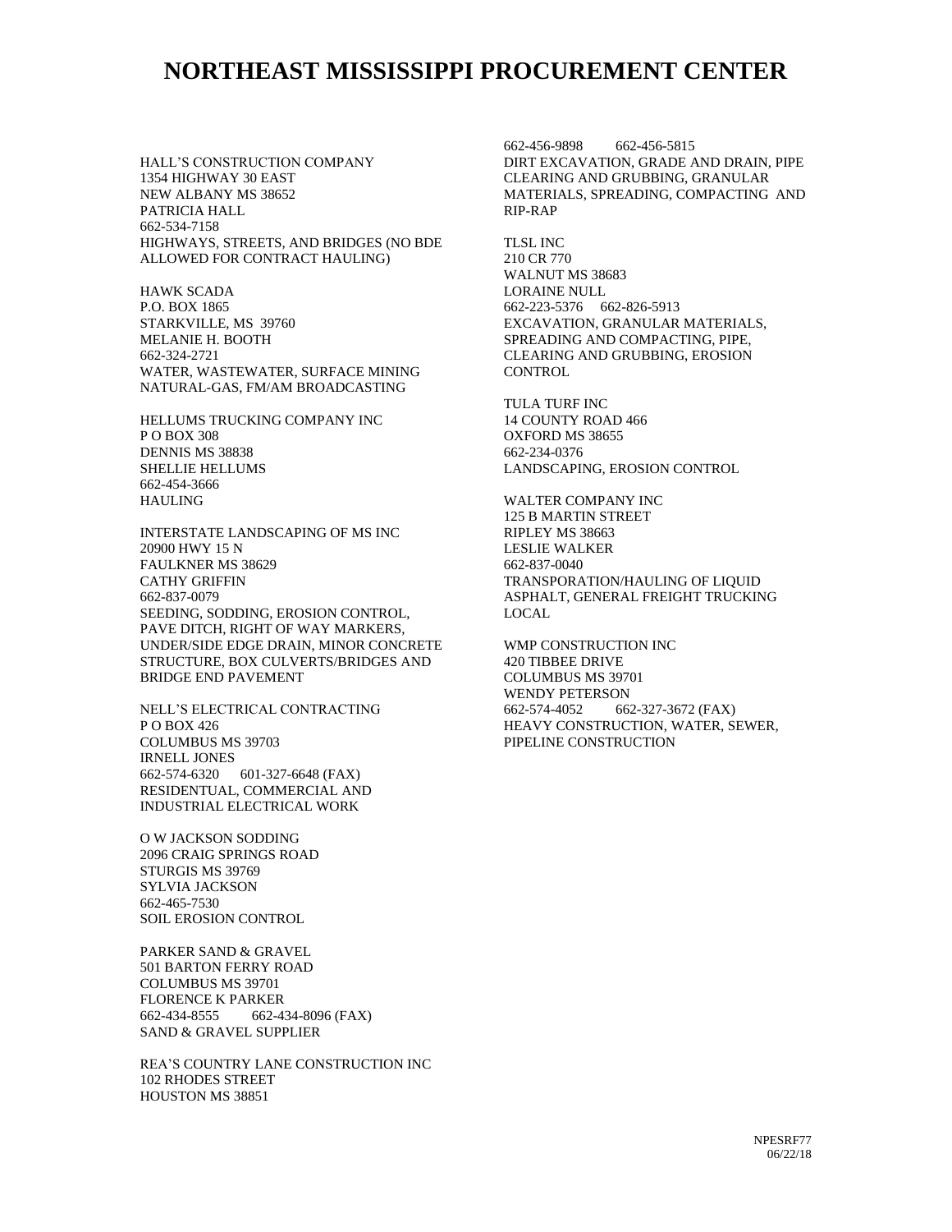## **NORTHEAST MISSISSIPPI PROCUREMENT CENTER**

HALL'S CONSTRUCTION COMPANY 1354 HIGHWAY 30 EAST NEW ALBANY MS 38652 PATRICIA HALL 662-534-7158 HIGHWAYS, STREETS, AND BRIDGES (NO BDE ALLOWED FOR CONTRACT HAULING)

HAWK SCADA P.O. BOX 1865 STARKVILLE, MS 39760 MELANIE H. BOOTH 662-324-2721 WATER, WASTEWATER, SURFACE MINING NATURAL-GAS, FM/AM BROADCASTING

HELLUMS TRUCKING COMPANY INC P O BOX 308 DENNIS MS 38838 SHELLIE HELLUMS 662-454-3666 HAULING

INTERSTATE LANDSCAPING OF MS INC 20900 HWY 15 N FAULKNER MS 38629 CATHY GRIFFIN 662-837-0079 SEEDING, SODDING, EROSION CONTROL, PAVE DITCH, RIGHT OF WAY MARKERS, UNDER/SIDE EDGE DRAIN, MINOR CONCRETE STRUCTURE, BOX CULVERTS/BRIDGES AND BRIDGE END PAVEMENT

NELL'S ELECTRICAL CONTRACTING P O BOX 426 COLUMBUS MS 39703 IRNELL JONES 662-574-6320 601-327-6648 (FAX) RESIDENTUAL, COMMERCIAL AND INDUSTRIAL ELECTRICAL WORK

O W JACKSON SODDING 2096 CRAIG SPRINGS ROAD STURGIS MS 39769 SYLVIA JACKSON 662-465-7530 SOIL EROSION CONTROL

PARKER SAND & GRAVEL 501 BARTON FERRY ROAD COLUMBUS MS 39701 FLORENCE K PARKER 662-434-8555 662-434-8096 (FAX) SAND & GRAVEL SUPPLIER

REA'S COUNTRY LANE CONSTRUCTION INC 102 RHODES STREET HOUSTON MS 38851

662-456-9898 662-456-5815 DIRT EXCAVATION, GRADE AND DRAIN, PIPE CLEARING AND GRUBBING, GRANULAR MATERIALS, SPREADING, COMPACTING AND RIP-RAP

TLSL INC 210 CR 770 WALNUT MS 38683 LORAINE NULL 662-223-5376 662-826-5913 EXCAVATION, GRANULAR MATERIALS, SPREADING AND COMPACTING, PIPE, CLEARING AND GRUBBING, EROSION **CONTROL** 

TULA TURF INC 14 COUNTY ROAD 466 OXFORD MS 38655 662-234-0376 LANDSCAPING, EROSION CONTROL

WALTER COMPANY INC 125 B MARTIN STREET RIPLEY MS 38663 LESLIE WALKER 662-837-0040 TRANSPORATION/HAULING OF LIQUID ASPHALT, GENERAL FREIGHT TRUCKING LOCAL

WMP CONSTRUCTION INC 420 TIBBEE DRIVE COLUMBUS MS 39701 WENDY PETERSON 662-574-4052 662-327-3672 (FAX) HEAVY CONSTRUCTION, WATER, SEWER, PIPELINE CONSTRUCTION